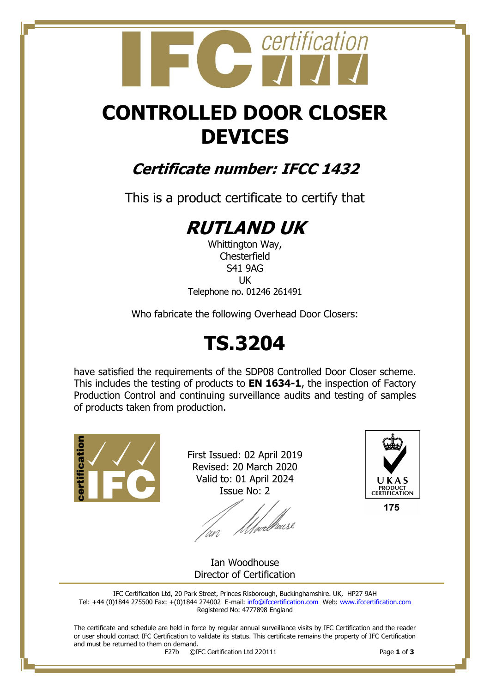# certification

## **CONTROLLED DOOR CLOSER DEVICES**

### **Certificate number: IFCC 1432**

This is a product certificate to certify that

### **RUTLAND UK**

Whittington Way, **Chesterfield** S41 9AG UK Telephone no. 01246 261491

Who fabricate the following Overhead Door Closers:

## **TS.3204**

have satisfied the requirements of the SDP08 Controlled Door Closer scheme. This includes the testing of products to **EN 1634-1**, the inspection of Factory Production Control and continuing surveillance audits and testing of samples of products taken from production.



First Issued: 02 April 2019 Revised: 20 March 2020 Valid to: 01 April 2024 Issue No: 2

l<br>lµeell<sup>h</sup>eusl



175

Ian Woodhouse Director of Certification

IFC Certification Ltd, 20 Park Street, Princes Risborough, Buckinghamshire. UK, HP27 9AH Tel: +44 (0)1844 275500 Fax: +(0)1844 274002 E-mail[: info@ifccertification.com](mailto:info@ifccertification.com) Web: [www.ifccertification.com](http://www.ifccertification.com/) Registered No: 4777898 England

The certificate and schedule are held in force by regular annual surveillance visits by IFC Certification and the reader or user should contact IFC Certification to validate its status. This certificate remains the property of IFC Certification and must be returned to them on demand.<br> $F27b$   $\odot$ I

F27b ©IFC Certification Ltd 220111 Page **1** of **3**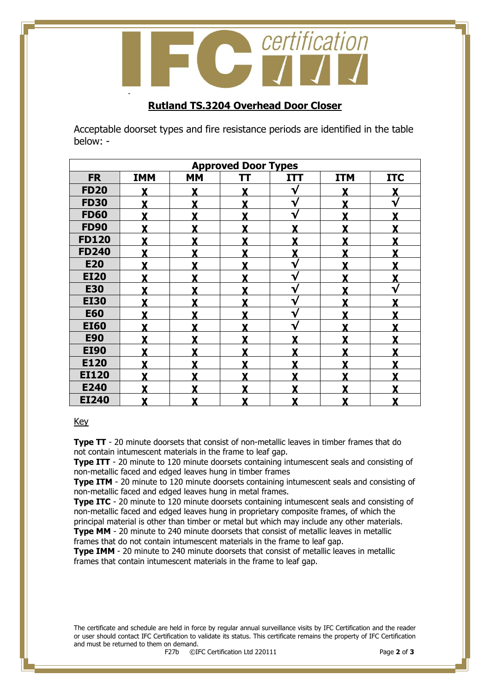# certification -

#### **Rutland TS.3204 Overhead Door Closer**

Acceptable doorset types and fire resistance periods are identified in the table below: -

| <b>Approved Door Types</b> |            |           |   |             |            |            |  |  |
|----------------------------|------------|-----------|---|-------------|------------|------------|--|--|
| <b>FR</b>                  | <b>IMM</b> | <b>MM</b> | π | <b>ITT</b>  | <b>ITM</b> | <b>ITC</b> |  |  |
| <b>FD20</b>                |            | Y         | Y | V           |            |            |  |  |
| <b>FD30</b>                |            | Y         | Y | √           | v          | V          |  |  |
| <b>FD60</b>                |            | Y         | Y | V           | v          | v          |  |  |
| <b>FD90</b>                | Y          | Y         | Y | Y           | Y          | Y          |  |  |
| <b>FD120</b>               | v          | v         | Y | v           | v          | v          |  |  |
| <b>FD240</b>               |            | Y         | Y | Y           | v          |            |  |  |
| <b>E20</b>                 |            | Y         |   | √           | Y          |            |  |  |
| <b>EI20</b>                |            | Y         |   | √           |            |            |  |  |
| <b>E30</b>                 |            | Y         |   | $\mathbf v$ |            |            |  |  |
| <b>EI30</b>                |            | Y         | Y | √           | v          |            |  |  |
| <b>E60</b>                 | Y          | Y         | Y | $\mathbf v$ | v          | Y          |  |  |
| <b>EI60</b>                | Y          | Y         | Y | V           | Y          | Y          |  |  |
| <b>E90</b>                 | v          | Y         | Y | v           | v          | v          |  |  |
| <b>EI90</b>                |            | Y         | Y |             | v          | v          |  |  |
| E120                       |            | Y         | Y |             | Y          | Y          |  |  |
| <b>EI120</b>               |            | Y         |   |             | v          |            |  |  |
| E240                       |            | v         |   |             | v          |            |  |  |
| <b>EI240</b>               | X          | X         | X | X           | X          | X          |  |  |

#### Key

**Type TT** - 20 minute doorsets that consist of non-metallic leaves in timber frames that do not contain intumescent materials in the frame to leaf gap.

**Type ITT** - 20 minute to 120 minute doorsets containing intumescent seals and consisting of non-metallic faced and edged leaves hung in timber frames

**Type ITM** - 20 minute to 120 minute doorsets containing intumescent seals and consisting of non-metallic faced and edged leaves hung in metal frames.

**Type ITC** - 20 minute to 120 minute doorsets containing intumescent seals and consisting of non-metallic faced and edged leaves hung in proprietary composite frames, of which the principal material is other than timber or metal but which may include any other materials. **Type MM** - 20 minute to 240 minute doorsets that consist of metallic leaves in metallic

frames that do not contain intumescent materials in the frame to leaf gap.

**Type IMM** - 20 minute to 240 minute doorsets that consist of metallic leaves in metallic frames that contain intumescent materials in the frame to leaf gap.

The certificate and schedule are held in force by regular annual surveillance visits by IFC Certification and the reader or user should contact IFC Certification to validate its status. This certificate remains the property of IFC Certification and must be returned to them on demand.<br> $F27b$   $\odot$ I

F27b ©IFC Certification Ltd 220111 Page **2** of **3**